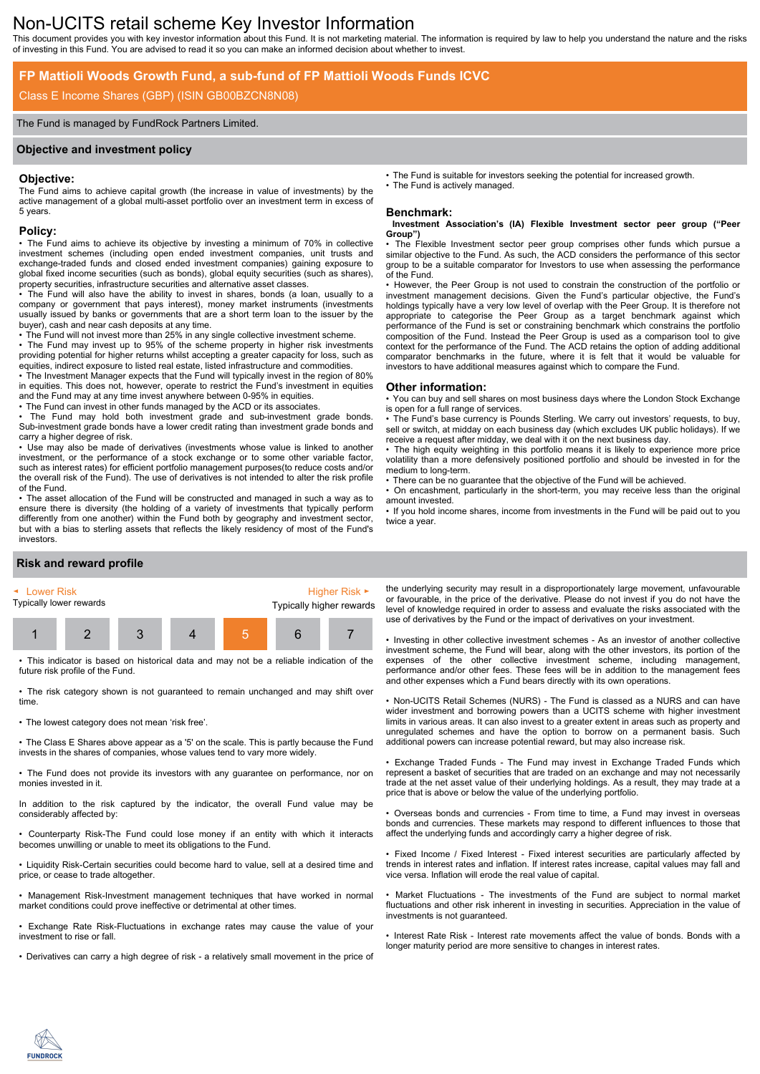# Non-UCITS retail scheme Key Investor Information

This document provides you with key investor information about this Fund. It is not marketing material. The information is required by law to help you understand the nature and the risks of investing in this Fund. You are advised to read it so you can make an informed decision about whether to invest.

## **FP Mattioli Woods Growth Fund, a sub-fund of FP Mattioli Woods Funds ICVC**

## Class E Income Shares (GBP) (ISIN GB00BZCN8N08)

#### The Fund is managed by FundRock Partners Limited.

#### **Objective and investment policy**

#### **Objective:**

The Fund aims to achieve capital growth (the increase in value of investments) by the active management of a global multi-asset portfolio over an investment term in excess of 5 years.

#### **Policy:**

• The Fund aims to achieve its objective by investing a minimum of 70% in collective investment schemes (including open ended investment companies, unit trusts and exchange-traded funds and closed ended investment companies) gaining exposure to global fixed income securities (such as bonds), global equity securities (such as shares), property securities, infrastructure securities and alternative asset classes.

• The Fund will also have the ability to invest in shares, bonds (a loan, usually to a company or government that pays interest), money market instruments (investments usually issued by banks or governments that are a short term loan to the issuer by the buyer), cash and near cash deposits at any time.

• The Fund will not invest more than 25% in any single collective investment scheme.

• The Fund may invest up to 95% of the scheme property in higher risk investments providing potential for higher returns whilst accepting a greater capacity for loss, such as equities, indirect exposure to listed real estate, listed infrastructure and commodities.

• The Investment Manager expects that the Fund will typically invest in the region of 80% in equities. This does not, however, operate to restrict the Fund's investment in equities and the Fund may at any time invest anywhere between 0-95% in equities.

• The Fund can invest in other funds managed by the ACD or its associates.

The Fund may hold both investment grade and sub-investment grade bonds. Sub-investment grade bonds have a lower credit rating than investment grade bonds and carry a higher degree of risk.

• Use may also be made of derivatives (investments whose value is linked to another investment, or the performance of a stock exchange or to some other variable factor, such as interest rates) for efficient portfolio management purposes(to reduce costs and/or the overall risk of the Fund). The use of derivatives is not intended to alter the risk profile of the Fund.

• The asset allocation of the Fund will be constructed and managed in such a way as to ensure there is diversity (the holding of a variety of investments that typically perform differently from one another) within the Fund both by geography and investment sector, but with a bias to sterling assets that reflects the likely residency of most of the Fund's investors.

• The Fund is suitable for investors seeking the potential for increased growth.

The Fund is actively managed.

### **Benchmark:**

#### **Investment Association's (IA) Flexible Investment sector peer group ("Peer Group")**

The Flexible Investment sector peer group comprises other funds which pursue a similar objective to the Fund. As such, the ACD considers the performance of this sector group to be a suitable comparator for Investors to use when assessing the performance of the Fund.

• However, the Peer Group is not used to constrain the construction of the portfolio or investment management decisions. Given the Fund's particular objective, the Fund's holdings typically have a very low level of overlap with the Peer Group. It is therefore not appropriate to categorise the Peer Group as a target benchmark against which performance of the Fund is set or constraining benchmark which constrains the portfolio composition of the Fund. Instead the Peer Group is used as a comparison tool to give context for the performance of the Fund. The ACD retains the option of adding additional comparator benchmarks in the future, where it is felt that it would be valuable for investors to have additional measures against which to compare the Fund.

#### **Other information:**

• You can buy and sell shares on most business days where the London Stock Exchange is open for a full range of services.

• The Fund's base currency is Pounds Sterling. We carry out investors' requests, to buy, sell or switch, at midday on each business day (which excludes UK public holidays). If we receive a request after midday, we deal with it on the next business day.

• The high equity weighting in this portfolio means it is likely to experience more price volatility than a more defensively positioned portfolio and should be invested in for the medium to long-term.

There can be no guarantee that the objective of the Fund will be achieved.

• On encashment, particularly in the short-term, you may receive less than the original amount invested.

• If you hold income shares, income from investments in the Fund will be paid out to you twice a year.

## **Risk and reward profile**



• This indicator is based on historical data and may not be a reliable indication of the future risk profile of the Fund.

• The risk category shown is not guaranteed to remain unchanged and may shift over time.

• The lowest category does not mean 'risk free'.

• The Class E Shares above appear as a '5' on the scale. This is partly because the Fund invests in the shares of companies, whose values tend to vary more widely.

• The Fund does not provide its investors with any guarantee on performance, nor on monies invested in it.

In addition to the risk captured by the indicator, the overall Fund value may be considerably affected by:

• Counterparty Risk-The Fund could lose money if an entity with which it interacts becomes unwilling or unable to meet its obligations to the Fund.

• Liquidity Risk-Certain securities could become hard to value, sell at a desired time and price, or cease to trade altogether.

• Management Risk-Investment management techniques that have worked in normal market conditions could prove ineffective or detrimental at other times.

• Exchange Rate Risk-Fluctuations in exchange rates may cause the value of your investment to rise or fall.

• Derivatives can carry a high degree of risk - a relatively small movement in the price of

the underlying security may result in a disproportionately large movement, unfavourable or favourable, in the price of the derivative. Please do not invest if you do not have the level of knowledge required in order to assess and evaluate the risks associated with the use of derivatives by the Fund or the impact of derivatives on your investment.

• Investing in other collective investment schemes - As an investor of another collective investment scheme, the Fund will bear, along with the other investors, its portion of the expenses of the other collective investment scheme, including management, performance and/or other fees. These fees will be in addition to the management fees and other expenses which a Fund bears directly with its own operations.

• Non-UCITS Retail Schemes (NURS) - The Fund is classed as a NURS and can have wider investment and borrowing powers than a UCITS scheme with higher investment limits in various areas. It can also invest to a greater extent in areas such as property and unregulated schemes and have the option to borrow on a permanent basis. Such additional powers can increase potential reward, but may also increase risk.

• Exchange Traded Funds - The Fund may invest in Exchange Traded Funds which represent a basket of securities that are traded on an exchange and may not necessarily trade at the net asset value of their underlying holdings. As a result, they may trade at a price that is above or below the value of the underlying portfolio.

• Overseas bonds and currencies - From time to time, a Fund may invest in overseas bonds and currencies. These markets may respond to different influences to those that affect the underlying funds and accordingly carry a higher degree of risk.

• Fixed Income / Fixed Interest - Fixed interest securities are particularly affected by trends in interest rates and inflation. If interest rates increase, capital values may fall and vice versa. Inflation will erode the real value of capital.

• Market Fluctuations - The investments of the Fund are subject to normal market fluctuations and other risk inherent in investing in securities. Appreciation in the value of investments is not guaranteed.

• Interest Rate Risk - Interest rate movements affect the value of bonds. Bonds with a longer maturity period are more sensitive to changes in interest rates.